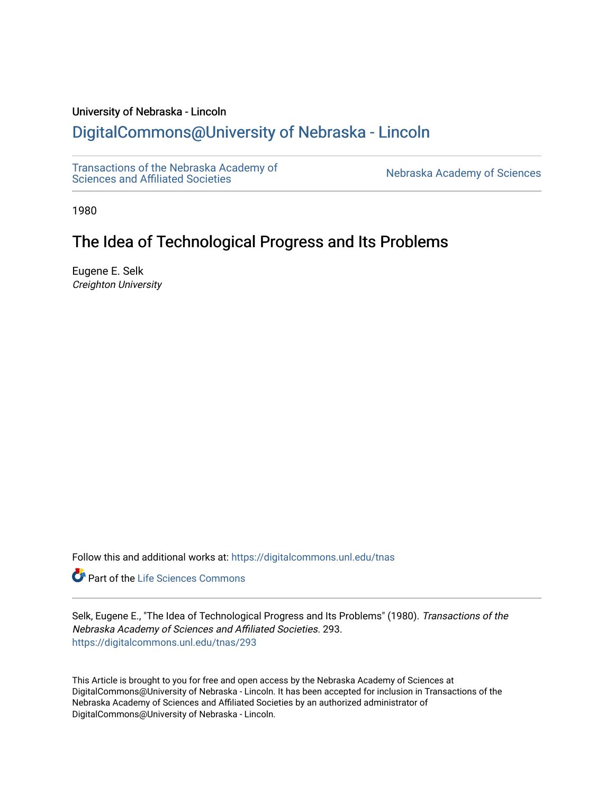# University of Nebraska - Lincoln

# [DigitalCommons@University of Nebraska - Lincoln](https://digitalcommons.unl.edu/)

[Transactions of the Nebraska Academy of](https://digitalcommons.unl.edu/tnas)  Transactions of the Nebraska Academy of Sciences<br>Sciences and Affiliated Societies

1980

# The Idea of Technological Progress and Its Problems

Eugene E. Selk Creighton University

Follow this and additional works at: [https://digitalcommons.unl.edu/tnas](https://digitalcommons.unl.edu/tnas?utm_source=digitalcommons.unl.edu%2Ftnas%2F293&utm_medium=PDF&utm_campaign=PDFCoverPages) 

Part of the [Life Sciences Commons](http://network.bepress.com/hgg/discipline/1016?utm_source=digitalcommons.unl.edu%2Ftnas%2F293&utm_medium=PDF&utm_campaign=PDFCoverPages) 

Selk, Eugene E., "The Idea of Technological Progress and Its Problems" (1980). Transactions of the Nebraska Academy of Sciences and Affiliated Societies. 293. [https://digitalcommons.unl.edu/tnas/293](https://digitalcommons.unl.edu/tnas/293?utm_source=digitalcommons.unl.edu%2Ftnas%2F293&utm_medium=PDF&utm_campaign=PDFCoverPages) 

This Article is brought to you for free and open access by the Nebraska Academy of Sciences at DigitalCommons@University of Nebraska - Lincoln. It has been accepted for inclusion in Transactions of the Nebraska Academy of Sciences and Affiliated Societies by an authorized administrator of DigitalCommons@University of Nebraska - Lincoln.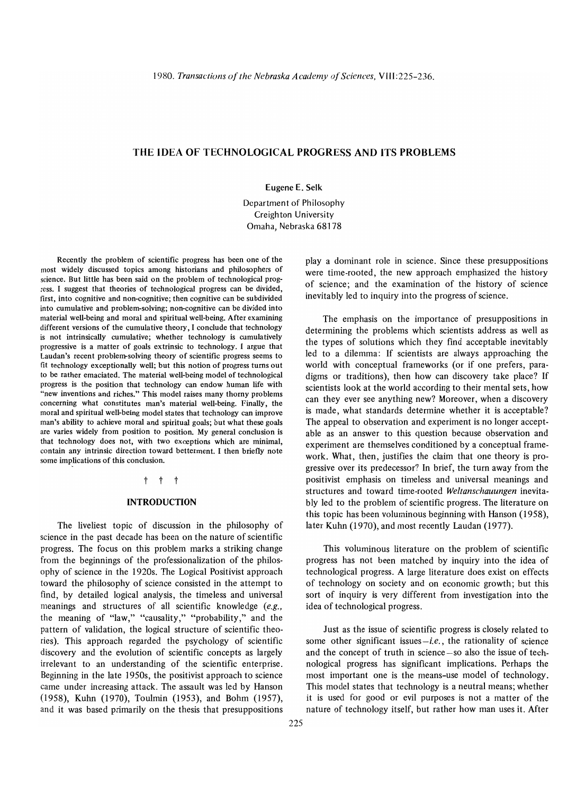## **THE IDEA OF TECHNOLOGICAL PROGRESS AND ITS PROBLEMS**

#### Eugene E. Selk

Department of Philosophy Creighton University Omaha, Nebraska 68178

Recently the problem of scientific progress has been one of the most widely discussed topics among historians and philosophers of science. But little has been said on the problem of technological progress. I suggest that theories of technological progress can be divided, first, into cognitive and non-cognitive; then cognitive can be subdivided into cumulative and problem-solving; non-cognitive can be divided into material well-being and moral and spiritual well-being. After examining different versions of the cumulative theory, I conclude that technology is not intrinsically cumulative; whether technology is cumulatively progressive is a matter of goals extrinsic to technology. I argue that Laudan's recent problem-solving theory of scientific progress seems to fit technology exceptionally well; but this notion of progress turns out to be rather emaciated. The material well-being model of technological progress is the position that technology can endow human life with "new inventions and riches." This model raises many thorny problems concerning what constitutes man's material well-being. Finally, the moral and spiritual well-being model states that technology can improve man's ability to achieve moral and spiritual goals; but what these goals are varies widely from position to position. My general conclusion is that technology does not, with two exceptions which are minimal, contain any intrinsic direction toward betterment. I then briefly note some implications of this conclusion.

### t t t

### **INTRODUCTION**

The liveliest topic of discussion in the philosophy of science in the past decade has been on the nature of scientific progress. The focus on this problem marks a striking change from the beginnings of the professionalization of the philosophy of science in the 1920s. The Logical Positivist approach toward the philosophy of science consisted in the attempt to find, by detailed logical analysis, the timeless and universal meanings and structures of all scientific knowledge *(e.g.,*  the meaning of "law," "causality," "probability," and the pattern of validation, the logical structure of scientific theories). This approach regarded the psychology of scientific discovery and the evolution of scientific concepts as largely irrelevant to an understanding of the scientific enterprise. Beginning in the late 1950s, the positivist approach to science came under increasing attack. The assault was led by Hanson (1958), Kuhn (1970), Toulmin (1953), and Bohm (1957), and it was based primarily on the thesis that presuppositions

play a dominant role in science. Since these presuppositions were time-rooted, the new approach emphasized the history of science; and the examination of the history of science inevitably led to inquiry into the progress of science.

The emphasis on the importance of presuppositions in determining the problems which scientists address as well as the types of solutions which they find acceptable inevitably led to a dilemma: If scientists are always approaching the world with conceptual frameworks (or if one prefers, paradigms or traditions), then how can discovery take place? If scientists look at the world according to their mental sets, how can they ever see anything new? Moreover, when a discovery is made, what standards determine whether it is acceptable? The appeal to observation and experiment is no longer acceptable as an answer to this question because observation and experiment are themselves conditioned by a conceptual framework. What, then, justifies the claim that one theory is progressive over its predecessor? In brief, the turn away from the positivist emphasis on timeless and universal meanings and structures and toward time-rooted *Weltanschauungen* inevitably led to the problem of scientific progress. The literature on this topic has been voluminous beginning with Hanson (1958), later Kuhn (1970), and most recently Laudan (1977).

This voluminous literature on the problem of scientific progress has not been matched by inquiry into the idea of technological progress. A large literature does exist on effects of technology on society and on economic growth; but this sort of inquiry is very different from investigation into the idea of technological progress.

Just as the issue of scientific progress is closely related to some other significant issues $-i.e.,$  the rationality of science and the concept of truth in science-so also the issue of technological progress has significant implications. Perhaps the most important one is the means-use model of technology. This model states that technology is a neutral means; whether it is used for good or evil purposes is not a matter of the nature of technology itself, but rather how man uses it. After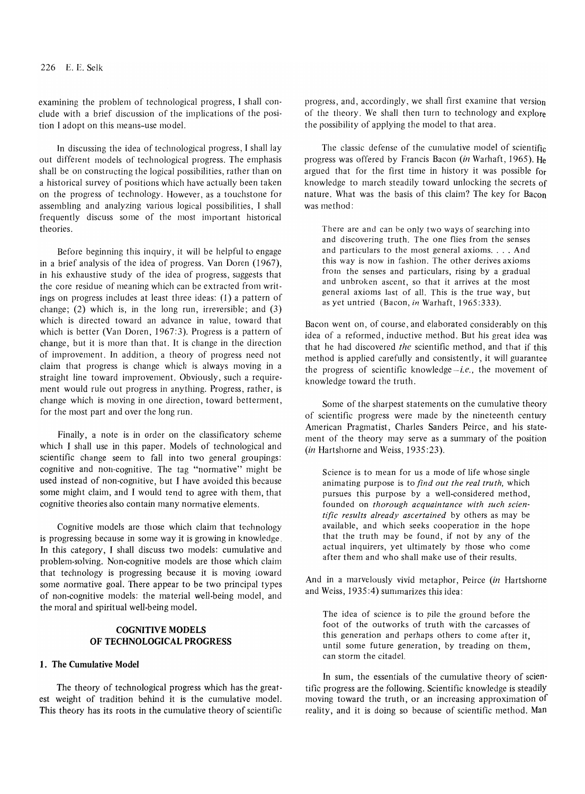examining the problem of technological progress, I shall conclude with a brief discussion of the implications of the position I adopt on this means-use model.

In discussing the idea of technological progress, I shall lay out different models of technological progress. The emphasis shall be on constructing the logical possibilities, rather than on a historical survey of positions which have actually been taken on the progress of technology. However, as a touchstone for assembling and analyzing various logical possibilities, I shall frequently discuss some of the most important historical theories.

Before beginning this inquiry, it will be helpful to engage in a brief analysis of the idea of progress. Van Doren (1967), in his exhaustive study of the idea of progress, suggests that the core residue of meaning which can be extracted from writings on progress includes at least three ideas: (1) a pattern of change; (2) which is, in the long run, irreversible; and (3) which is directed toward an advance in value, toward that which is better (Van Doren, 1967:3). Progress is a pattern of change, but it is more than that. It is change in the direction of improvement. In addition, a theory of progress need not claim that progress is change which is always moving in a straight line toward improvement. Obviously, such a requirement would rule out progress in anything. Progress, rather, is change which is moving in one direction, toward betterment, for the most part and over the long run.

Finally, a note is in order on the classificatory scheme which I shall use in this paper. Models of technological and scientific change seem to fall into two general groupings: cognitive and non-cognitive. The tag "normative" might be used instead of non-cognitive, but I have avoided this because some might claim, and I would tend to agree with them, that cognitive theories also contain many normative elements.

Cognitive models are those which claim that technology is progressing because in some way it is growing in knowledge. In this category, I shall discuss two models: cumulative and problem-solving. Non-cognitive models are those which claim that technology is progressing because it is moving toward some normative goal. There appear to be two principal types of non-cognitive models: the material well-being model, and the moral and spiritual well-being model.

# COGNITIVE MODELS OF TECHNOLOGICAL PROGRESS

#### 1. The Cumulative Model

The theory of technological progress which has the greatest weight of tradition behind it is the cumulative model. This theory has its roots in the cumulative theory of scientific progress, and, accordingly, we shall first examine that version of the theory. We shall then turn to technology and explore the possibility of applying the model to that area.

The classic defense of the cumulative model of scientific progress was offered by Francis Bacon *(in* Warhaft, 1965). He argued that for the first time in history it was possible for knowledge to march steadily toward unlocking the secrets of nature. What was the basis of this claim? The key for Bacon was method:

There are and can be only two ways of searching into and discovering truth. The one flies from the senses and particulars to the most general axioms .... And this way is now in fashion. The other derives axioms from the senses and particulars, rising by a gradual and unbroken ascent, so that it arrives at the most general axioms last of all. This is the true way, but as yet untried (Bacon, *in* Warhaft, 1965 :333).

Bacon went on, of course, and elaborated considerably on this idea of a reformed, inductive method. But his great idea was that he had discovered *the* scientific method, and that if this method is applied carefully and consistently, it will guarantee the progress of scientific *knowledge-i.e.,* the movement of knowledge toward the truth.

Some of the sharpest statements on the cumulative theory of scientific progress were made by the nineteenth century American Pragmatist, Charles Sanders Peirce, and his statement of the theory may serve as a summary of the position *(in Hartshorne and Weiss, 1935:23).* 

Science is to mean for us a mode of life whose single animating purpose is to *find out the real truth,* which pursues this purpose by a well-considered method, founded on *thorough acquaintance with such scientific results already ascertained* by others as may be available, and which seeks cooperation in the hope that the truth may be found, if not by any of the actual inquirers, yet ultimately by those who come after them and who shall make use of their results.

And in a marvelously vivid metaphor, Peirce *(in* Hartshorne and Weiss, 1935:4) summarizes this idea:

The idea of science is to pile the ground before the foot of the outworks of truth with the carcasses of this generation and perhaps others to come after it, until some future generation, by treading on them, can storm the citadel.

In sum, the essentials of the cumulative theory of scientific progress are the following. Scientific knowledge is steadily moving toward the truth, or an increasing approximation of reality, and it is doing so because of scientific method. Man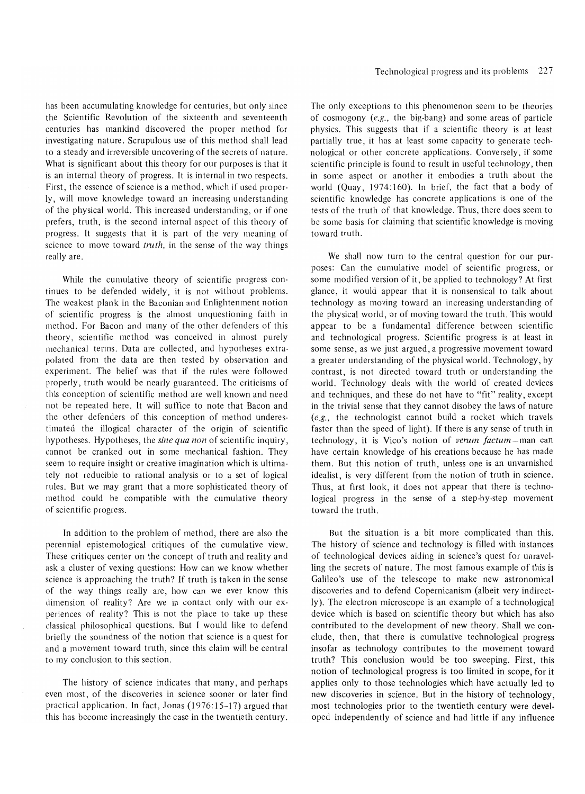has been accumulating knowledge for centuries, but only since the Scientific Revolution of the sixteenth and seventeenth centuries has mankind discovered the proper method for investigating nature. Scrupulous use of this method shall lead to a steady and irreversible uncovering of the secrets of nature. What is significant about this theory for our purposes is that it is an internal theory of progress. It is internal in two respects. First, the essence of science is a method, which if used properly, will move knowledge toward an increasing understanding of the physical world. This increased understanding, or if one prefers, truth, is the second internal aspect of this theory of progress. It suggests that it is part of the very meaning of science to move toward *truth*, in the sense of the way things really are.

While the cumulative theory of scientific progress continues to be defended widely, it is not without problems. The weakest plank in the Baconian and Enlightenment notion of scientific progress is the almost unquestioning faith in method. For Bacon and many of the other defenders of this theory, scientific method was conceived in almost purely mechanical terms. Data are collected, and hypotheses extrapolated from the data are then tested by observation and experiment. The belief was that if the rules were followed properly, truth would be nearly guaranteed. The criticisms of this conception of scientific method are well known and need not be repeated here. It will suffice to note that Bacon and the other defenders of this conception of method underestimated the illogical character of the origin of scientific hypotheses. Hypotheses, the *sine qua non* of scientific inquiry, cannot be cranked out in some mechanical fashion. They seem to require insight or creative imagination which is ultimately not reducible to rational analysis or to a set of logical rules. But we may grant that a more sophisticated theory of method could be compatible with the cumulative theory of scientific progress.

In addition to the problem of method, there are also the perennial epistemological critiques of the cumulative view. These critiques center on the concept of truth and reality and ask a cluster of vexing questions: How can we know whether science is approaching the truth? If truth is taken in the sense of the way things really are, how can we ever know this dimension of reality? Are we in contact only with our experiences of reality? This is not the place to take up these classical philosophical questions. But I would like to defend brietly the soundness of the notion that science is a quest for and a movement toward truth, since this claim will be central to my conclusion to this section.

The history of science indicates that many, and perhaps even most, of the discoveries in science sooner or later find practical application. In fact, Jonas (1976: 15-17) argued that this has become increasingly the case in the twentieth century. The only exceptions to this phenomenon seem to be theories of cosmogony *(e.g.,* the big-bang) and some areas of particle physics. This suggests that if a scientific theory is at least partially true, it has at least some capacity to generate technological or other concrete applications. Conversely, if some scientific principle is found to result in useful technology, then in some aspect or another it embodies a truth about the world (Quay, 1974: 160). [n brief, the fact that a body of scientific knowledge has concrete applications is one of the tests of the truth of that knowledge. Thus, there does seem to be some basis for claiming that scientific knowledge is moving toward truth.

We shall now turn to the central question for our purposes: Can the cumulative model of scientific progress, or some modified version of it, be applied to technology? At first glance, it would appear that it is nonsensical to talk about technology as moving toward an increasing understanding of the physical world, or of moving toward the truth. This would appear to be a fundamental difference between scientific and technological progress. Scientific progress is at least in some sense, as we just argued, a progressive movement toward a greater understanding of the physical world. Technology, by contrast, is not directed toward truth or understanding the world. Technology deals with the world of created devices and techniques, and these do not have to "fit" reality, except in the trivial sense that they cannot disobey the laws of nature *(e.g.,* the technologist cannot build a rocket which travels faster than the speed of light). If there is any sense of truth in technology, it is Vico's notion of *verum factum* -- man can have certain knowledge of his creations because he has made them. But this notion of truth, unless one is an unvarnished idealist, is very different from the notion of truth in science. Thus, at first look, it does not appear that there is technological progress in the sense of a step-by-step movement toward the truth.

But the situation is a bit more complicated than this. The history of science and technology is filled with instances of technological devices aiding in science's quest for unravelling the secrets of nature. The most famous example of this is Galileo's use of the telescope to make new astronomical discoveries and to defend Copernicanism (albeit very indirectly). The electron microscope is an example of a technological device which is based on scientific theory but which has also contributed to the development of new theory. Shall we conclude, then, that there is cumulative technological progress insofar as technology contributes to the movement toward truth? This conclusion would be too sweeping. First, this notion of technological progress is too limited in scope, for it applies only to those technologies which have actually led to new discoveries in science. But in the history of technology, most technologies prior to the twentieth century were developed independently of science and had little if any influence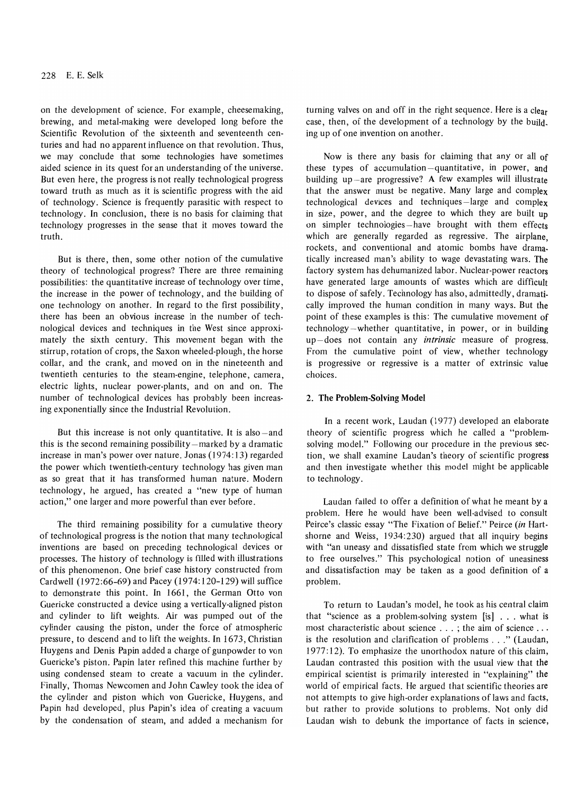on the development of science. For example, cheesemaking, brewing, and metal-making were developed long before the Scientific Revolution of the sixteenth and seventeenth centuries and had no apparent influence on that revolution. Thus, we may conclude that some technologies have sometimes aided science in its quest for an understanding of the universe. But even here, the progress is not really technological progress toward truth as much as it is scientific progress with the aid of technology. Science is frequently parasitic with respect to technology. In conclusion, there is no basis for claiming that technology progresses in the sense that it moves toward the truth.

But is there, then, some other notion of the cumulative theory of technological progress? There are three remaining possibilities: the quantitative increase of technology over time, the increase in the power of technology, and the building of one technology on another. In regard to the first possibility, there has been an obvious increase in the number of technological devices and techniques in the West since approximately the sixth century. This movement began with the stirrup, rotation of crops, the Saxon wheeled-plough, the horse collar, and the crank, and moved on in the nineteenth and twentieth centuries to the steam-engine, telephone, camera, electric lights, nuclear power-plants, and on and on. The number of technological devices has probably been increasing exponentially since the Industrial Revolution.

But this increase is not only quantitative. It is also  $-$  and this is the second remaining possibility—marked by a dramatic increase in man's power over nature. Jonas (1974:13) regarded the power which twentieth-century technology has given man as so great that it has transformed human nature. Modern technology, he argued, has created a "new type of human action," one larger and more powerful than ever before.

The third remaining possibility for a cumulative theory of technological progress is the notion that many technological inventions are based on preceding technological devices or processes. The history of technology is filled with illustrations of this phenomenon. One brief case history constructed from Cardwell (1972:66-69) and Pacey (1974: 120-129) will suffice to demonstrate this point. In 1661, the German Otto von Guericke constructed a device using a vertically-aligned piston and cylinder to lift weights. Air was pumped out of the cylinder causing the piston, under the force of atmospheric pressure, to descend and to lift the weights. In 1673, Christian Huygens and Denis Papin added a charge of gunpowder to von Guericke's piston. Papin later refined this machine further by using condensed steam to create a vacuum in the cylinder. Finally, Thomas Newcomen and John Cawley took the idea of the cylinder and piston which von Guericke, Huygens, and Papin had developed, plus Papin's idea of creating a vacuum by the condensation of steam, and added a mechanism for

turning valves on and off in the right sequence. Here is a clear case, then, of the development of a technology by the build. ing up of one invention on another.

Now is there any basis for claiming that any or all of these types of accumulation-quantitative, in power, and building up-are progressive? A few examples will illustrate that the answer must be negative. Many large and complex technological devices and techniques-large and complex in size, power, and the degree to which they are built up on simpler technologies—have brought with them effects which are generally regarded as regressive. The airplane, rockets, and conventional and atomic bombs have dramatically increased man's ability to wage devastating wars. The factory system has dehumanized labor. Nuclear-power reactors have generated large amounts of wastes which are difficult to dispose of safely. Technology has also, admittedly, dramatically improved the human condition in many ways. But the point of these examples is this: The cumulative movement of technology-whether quantitative, in power, or in building up-does not contain any *intrinsic* measure of progress. From the cumulative point of view, whether technology is progressive or regressive is a matter of extrinsic value choices.

## 2. The Problem-Solving Model

In a recent work, Laudan (1977) developed an elaborate theory of scientific progress which he called a "problemsolving model." Following our procedure in the previous section, we shall examine Laudan's theory of scientific progress and then investigate whether this model might be applicable to technology.

Laudan failed to offer a definition of what he meant by a problem. Here he would have been well-advised to consult Peirce's classic essay "The Fixation of Belief." Peirce *(in* Hartshorne and Weiss, 1934:230) argued that all inquiry begins with "an uneasy and dissatisfied state from which we struggle to free ourselves." This psychological notion of uneasiness and dissatisfaction may be taken as a good definition of a problem.

To return to Laudan's model, he took as his central claim that "science as a problem-solving system [is] ... what is most characteristic about science ... ; the aim of science ... is the resolution and clarification of problems . . ." (Laudan, 1977: 12). To emphasize the unorthodox nature of this claim, Laudan contrasted this position with the usual view that the empirical scientist is primarily interested in "explaining" the world of empirical facts. He argued that scientific theories are not attempts to give high·order explanations of laws and facts, but rather to provide solutions to problems. Not only did Laudan wish to debunk the importance of facts in science,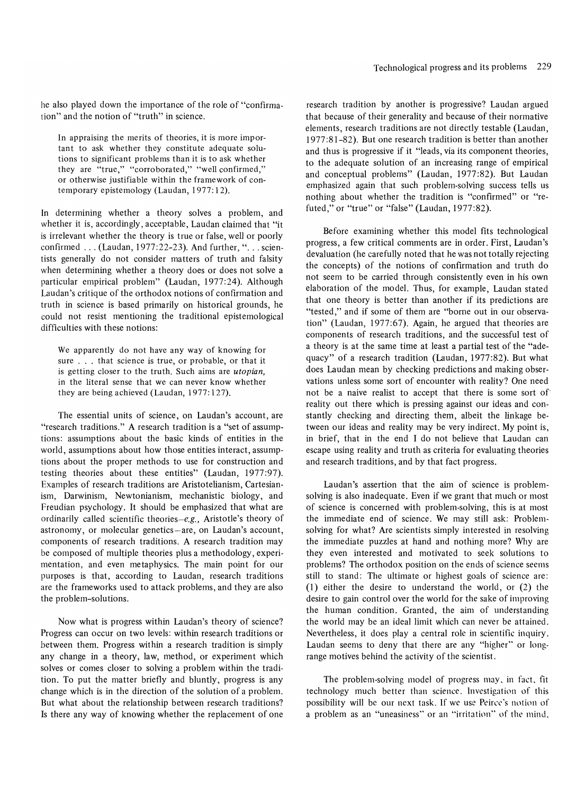he also played down the importance of the role of "confirmation" and the notion of "truth" in science.

In appraising the merits of theories, it is more important to ask whether they constitute adequate solutions to significant problems than it is to ask whether they are "true," "corroborated," "well confirmed," or otherwise justifiable within the framework of contemporary epistemology (Laudan, 1977: 12).

In determining whether a theory solves a problem, and whether it is, accordingly, acceptable, Laudan claimed that "it is irrelevant whether the theory is true or false, well or poorly confirmed  $\dots$  (Laudan, 1977:22-23). And further, " $\dots$  scientists generally do not consider matters of truth and falsity when determining whether a theory does or does not solve a particular empirical problem" (Laudan, 1977:24). Although Laudan's critique of the orthodox notions of confirmation and truth in science is based primarily on historical grounds, he could not resist mentioning the traditional epistemological difficulties with these notions:

We apparently do not have any way of knowing for sure . . . that science is true, or probable, or that it is getting closer to the truth. Such aims are *utopian,*  in the literal sense that we can never know whether they are being achieved (Laudan, 1977: 127).

The essential units of science, on Laudan's account, are "research traditions." A research tradition is a "set of assumptions: assumptions about the basic kinds of entities in the world, assumptions about how those entities interact, assumptions about the proper methods to use for construction and testing theories about these entities" (Laudan, 1977:97). Examples of research traditions are Aristotelianism, Cartesianism, Darwinism, Newtonianism, mechanistic biology, and Freudian psychology. It should be emphasized that what are ordinarily called scientific theories-e.g., Aristotle's theory of astronomy, or molecular genetics-are, on Laudan's account, components of research traditions. A research tradition may be composed of multiple theories plus a methodology, experimentation, and even metaphysics. The main point for our purposes is that, according to Laudan, research traditions are the frameworks used to attack problems, and they are also the problem-solutions.

Now what is progress within Laudan's theory of science? Progress can occur on two levels: within research traditions or between them. Progress within a research tradition is simply any change in a theory, law, method, or experiment which solves or comes closer to solving a problem within the tradition. To put the matter briefly and bluntly, progress is any change which is in the direction of the solution of a problem. But what about the relationship between research traditions? Is there any way of knowing whether the replacement of one

research tradition by another is progressive? Laudan argued that because of their generality and because of their normative elements, research traditions are not directly testable (Laudan, 1977 :81-82). But one research tradition is better than another and thus is progressive if it "leads, via its component theories, to the adequate solution of an increasing range of empirical and conceptual problems" (Laudan, 1977 :82). But Laudan emphasized again that such problem-solving success tells us nothing about whether the tradition is "confirmed" or "refuted," or "true" or "false" (Laudan, 1977:82).

Before examining whether this model fits technological progress, a few critical comments are in order. First, Laudan's devaluation (he carefully noted that he was not totally rejecting the concepts) of the notions of confirmation and truth do not seem to be carried through consistently even in his own elaboration of the model. Thus, for example, Laudan stated that one theory is better than another if its predictions are "tested," and if some of them are "borne out in our observation" (Laudan, 1977:67). Again, he argued that theories are components of research traditions, and the successful test of a theory is at the same time at least a partial test of the "adequacy" of a research tradition (Laudan, 1977:82). But what does Laudan mean by checking predictions and making observations unless some sort of encounter with reality? One need not be a naive realist to accept that there is some sort of reality out there which is pressing against our ideas and constantly checking and directing them, albeit the linkage between our ideas and reality may be very indirect. My point is, in brief, that in the end I do not believe that Laudan can escape using reality and truth as criteria for evaluating theories and research traditions, and by that fact progress.

Laudan's assertion that the aim of science is problemsolving is also inadequate. Even if we grant that much or most of science is concerned with problem-solving, this is at most the immediate end of science. We may still ask: Problemsolving for what? Are scientists simply interested in resolving the immediate puzzles at hand and nothing more? Why are they even interested and motivated to seek solutions to problems? The orthodox position on the ends of science seems still to stand: The ultimate or highest goals of science are: (1) either the desire to understand the world, or (2) the desire to gain control over the world for the sake of improving the human condition. Granted, the aim of understanding the world may be an ideal limit which can never be attained. Nevertheless, it does play a central role in scientific inquiry. Laudan seems to deny that there are any "higher" or longrange motives behind the activity of the scientist.

The problem-solving model of progress may, in fact, fit technology much better than science. Investigation of this possibility will be our next task. If we use Peircc's notion of a problem as an "uneasiness" or an "irritation" of the mind,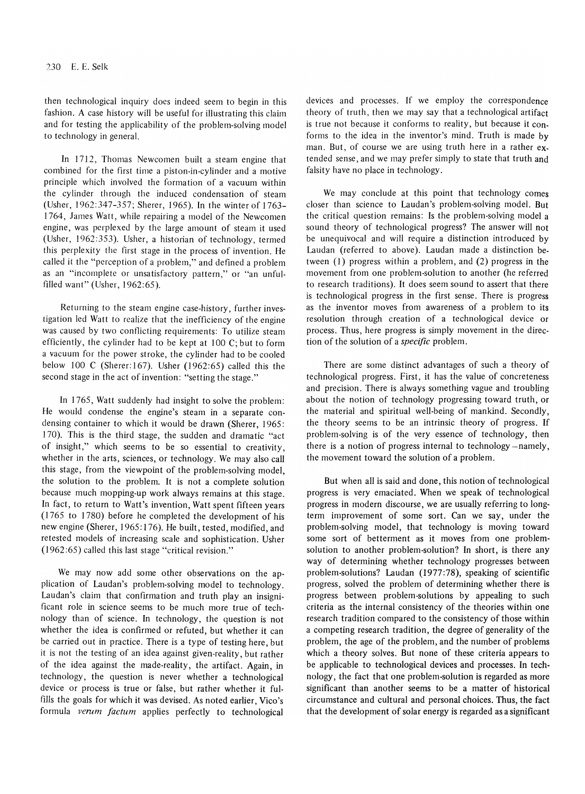then technological inquiry does indeed seem to begin in this fashion. A case history will be useful for illustrating this claim and for testing the applicability of the problem-solving model to technology in general.

In 1712, Thomas Newcomen built a steam engine that combined for the first time a piston-in-cylinder and a motive principle which involved the formation of a vacuum within the cylinder through the induced condensation of steam (Usher, 1962:347-357; Sherer, 1965). In the winter of 1763- 1764, James Watt, while repairing a model of the Newcomen engine, was perplexed by the large amount of steam it used (Usher, 1962:353). Usher, a historian of technology, termed this perplexity the first stage in the process of invention. He called it the "perception of a problem," and defined a problem as an "incomplete or unsatisfactory pattern," or "an unfulfilled want" (Usher, 1962:65).

Returning to the steam engine case-history, further investigation led Watt to realize that the inefficiency of the engine was caused by two conflicting requirements: To utilize steam efficiently, the cylinder had to be kept at 100 C; but to form a vacuum for the power stroke, the cylinder had to be cooled below 100 C (Sherer: 167). Usher  $(1962:65)$  called this the second stage in the act of invention: "setting the stage."

In 1765, Watt suddenly had insight to solve the problem: He would condense the engine's steam in a separate condensing container to which it would be drawn (Sherer, 1965: 170). This is the third stage, the sudden and dramatic "act of insight," which seems to be so essential to creativity, whether in the arts, sciences, or technology. We may also call this stage, from the viewpoint of the problem-solving model, the solution to the problem. It is not a complete solution because much mopping-up work always remains at this stage. In fact, to return to Watt's invention, Watt spent fifteen years (1765 to 1780) before he completed the development of his new engine (Sherer, 1965: 176). He built, tested, modified, and retested models of increasing scale and sophistication. Usher (1962 :65) called this last stage "critical revision."

We may now add some other observations on the application of Laudan's problem-solving model to technology. Laudan's claim that confirmation and truth play an insignificant role in science seems to be much more true of technology than of science. In technology, the question is not whether the idea is confirmed or refuted, but whether it can be carried out in practice. There is a type of testing here, but it is not the testing of an idea against given-reality, but rather of the idea against the made-reality, the artifact. Again, in technology, the question is never whether a technological device or process is true or false, but rather whether it fulfills the goals for which it was devised. As noted earlier, Vico's formula *verum factum* applies perfectly to technological

devices and processes. If we employ the correspondence theory of truth, then we may say that a technological artifact is true not because it conforms to reality, but because it conforms to the idea in the inventor's mind. Truth is made by man. But, of course we are using truth here in a rather extended sense, and we may prefer simply to state that truth and falsity have no place in technology.

We may conclude at this point that technology comes closer than science to Laudan's problem-solving model. But the critical question remains: Is the problem-solving model a sound theory of technological progress? The answer will not be unequivocal and will require a distinction introduced by Laudan (referred to above). Laudan made a distinction between (1) progress within a problem, and (2) progress in the movement from one problem-solution to another (he referred to research traditions). It does seem sound to assert that there is technological progress in the first sense. There is progress as the inventor moves from awareness of a problem to its resolution through creation of a technological device or process. Thus, here progress is simply movement in the direction of the solution of a *specific* problem.

There are some distinct advantages of such a theory of technological progress. First, it has the value of concreteness and precision. There is always something vague and troubling about the notion of technology progressing toward truth, or the material and spiritual well-being of mankind. Secondly, the theory seems to be an intrinsic theory of progress. If problem-solving is of the very essence of technology, then there is a notion of progress internal to technology-namely, the movement toward the solution of a problem.

But when all is said and done, this notion of technological progress is very emaciated. When we speak of technological progress in modern discourse, we are usually referring to longterm improvement of some sort. Can we say, under the problem-solving model, that technology is moving toward some sort of betterment as it moves from one problemsolution to another problem-solution? In short, is there any way of determining whether technology progresses between problem-solutions? Laudan (1977:78), speaking of scientific progress, solved the problem of determining whether there is progress between problem-solutions by appealing to such criteria as the internal consistency of the theories within one research tradition compared to the consistency of those within a competing research tradition, the degree of generality of the problem, the age of the problem, and the number of problems which a theory solves. But none of these criteria appears to be applicable to technological devices and processes. In technology, the fact that one problem-solution is regarded as more significant than another seems to be a matter of historical circumstance and cultural and personal choices. Thus, the fact that the development of solar energy is regarded as a significant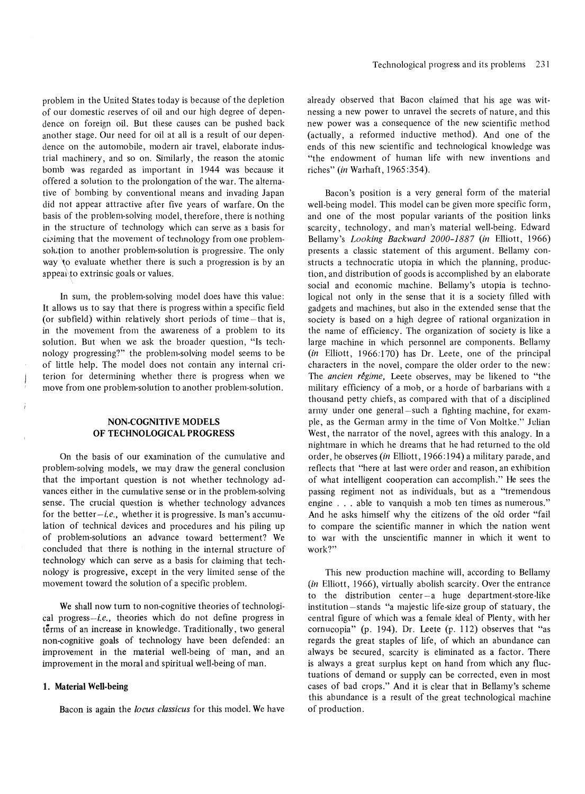problem in the United States today is because of the depletion of our domestic reserves of oil and our high degree of dependence on foreign oil. But these causes can be pushed back another stage. Our need for oil at all is a result of our dependence on the automobile, modern air travel, elaborate industrial machinery, and so on. Similarly, the reason the atomic bomb was regarded as important in 1944 was because it offered a solution to the prolongation of the war. The alternative of bombing by conventional means and invading Japan did not appear attractive after five years of warfare. On the basis of the problem-solving model, therefore, there is nothing in the structure of technology which can serve as a basis for cisiming that the movement of technology from one problemsolution to another problem-solution is progressive. The only way to evaluate whether there is such a progression is by an appeal\to extrinsic goals or values.

**In** sum, the problem-solving model does have this value: It allows us to say that there is progress within a specific field (or subfield) within relatively short periods of time  $-$  that is, in the movement from the awareness of a problem to its solution. But when we ask the broader question, "Is technology progressing?" the problem-solving model seems to be of little help. The model does not contain any internal criterion for determining whether there is progress when we move from one problem-solution to another problem-solution.

## **NON-COGNITIVE MODELS OF TECHNOLOGICAL PROGRESS**

On the basis of our examination of the cumulative and problem-solving models, we may draw the general conclusion that the important question is not whether technology advances either in the cumulative sense or in the problem-solving sense. The crucial question is whether technology advances for the better-i.e., whether it is progressive. Is man's accumulation of technical devices and procedures and his piling up of problem-solutions an advance toward betterment? We concluded that there is nothing in the internal structure of technology which can serve as a basis for claiming that technology is progressive, except in the very limited sense of the movement toward the solution of a specific problem.

We shall now turn to non-cognitive theories of technological progress-i.e., theories which do not define progress in terms of an increase in knowledge. Traditionally, two general non-cognitive goals of technology have been defended: an improvement in the material well-being of man, and an improvement in the moral and spiritual well-being of man.

# **1. Material Well-being**

Bacon is again the *locus classicus* for this model. We have

already observed that Bacon claimed that his age was witnessing a new power to unravel the secrets of nature, and this new power was a consequence of the new scientific method (actually, a reformed inductive method). And one of the ends of this new scientific and technological knowledge was "the endowment of human life with new inventions and riches" *(in* Warhaft, 1965:354).

Bacon's position is a very general form of the material well-being model. This model can be given more specific form, and one of the most popular variants of the position links scarcity, technology, and man's material well-being. Edward Bellamy's *Looking Backward 2000-1887 (in* Elliott, 1966) presents a classic statement of this argument. Bellamy constructs a technocratic utopia in which the planning, production, and distribution of goods is accomplished by an elaborate social and economic machine. Bellamy's utopia is technological not only in the sense that it is a society filled with gadgets and machines, but also in the extended sense that the society is based on a high degree of rational organization in the name of efficiency. The organization of society is like a large machine in which personnel are components. Bellamy *(in* Elliott, 1966:170) has Dr. Leete, one of the principal characters in the novel, compare the older order to the new: The *ancien regime,* Leete observes, may be likened to "the military efficiency of a mob, or a horde of barbarians with a thousand petty chiefs, as compared with that of a disciplined army under one general-such a fighting machine, for example, as the German army in the time of Von Moltke." Julian West, the narrator of the novel, agrees with this analogy. **In** a nightmare in which he dreams that he had returned to the old order, he observes *(in* Elliott, 1966: 194) a military parade, and reflects that "here at last were order and reason, an exhibition of what intelligent cooperation can accomplish." He sees the passing regiment not as individuals, but as a "tremendous engine ... able to vanquish a mob ten times as numerous." And he asks himself why the citizens of the old order "fail to compare the scientific manner in which the nation went to war with the unscientific manner in which it went to work?"

This new production machine will, according to Bellamy *(in* Elliott, 1966), virtually abolish scarcity. Over the entrance to the distribution center-a huge department-store-like institution -stands "a majestic life-size group of statuary, the central figure of which was a female ideal of Plenty, with her cornucopia" (p. 194). Dr. Leete (p. 112) observes that "as regards the great staples of life, of which an abundance can always be secured, scarcity is eliminated as a factor. There is always a great surplus kept on hand from which any fluctuations of demand or supply can be corrected, even in most cases of bad crops." And it is clear that in Bellamy's scheme this abundance is a result of the great technological machine of production.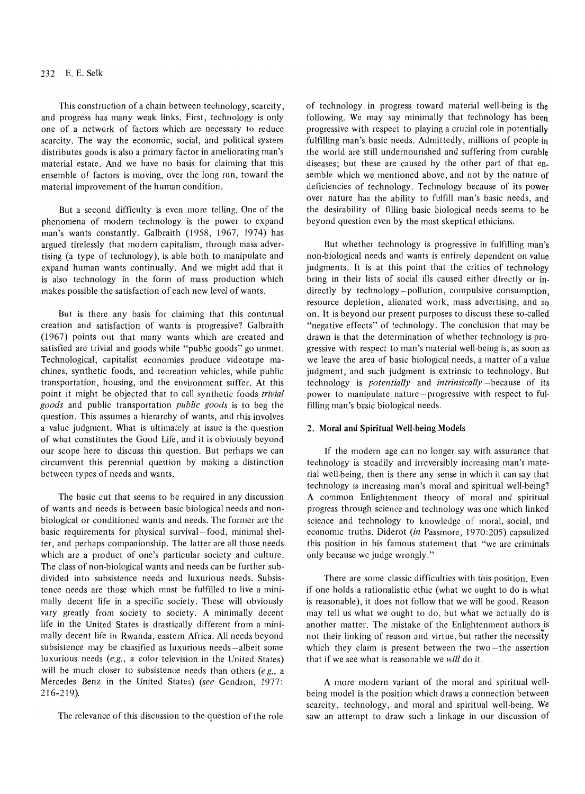#### 232 E. E. Selk

This construction of a chain between technology, scarcity, and progress has many weak links. First, technology is only one of a network of factors which are necessary to reduce scarcity. The way the economic, social, and political system distributes goods is also a primary factor in ameliorating man's material estate. And we have no basis for claiming that this ensemble of factors is moving, over the long run, toward the material improvement of the human condition.

But a second difficulty is even more telling. One of the phenomena of modern technology is the power to expand man's wants constantly. Galbraith (1958, 1967, 1974) has argued tirelessly that modern capitalism, through mass advertising (a type of technology), is able both to manipulate and expand human wants continually. And we might add that it is also technology in the form of mass production which makes possible the satisfaction of each new level of wants.

But is there any basis for claiming that this continual creation and satisfaction of wants is progressive? Galbraith (1967) points out that many wants which are created and satisfied are trivial and goods while "public goods" go unmet. Technological, capitalist economies produce videotape machines, synthetic foods, and recreation vehicles, while public transportation, housing, and the environment suffer. At this point it might be objected that to call synthetic foods *trivial goods* and public transportation *public goods* is to beg the question. This assumes a hierarchy of wants, and this involves a value judgment. What is ultimately at issue is the question of what constitutes the Good Life, and it is obviously beyond our scope here to discuss this question. But perhaps we can circumvent this perennial question by making a distinction between types of needs and wants.

The basic cut that seems to be required in any discussion of wants and needs is between basic biological needs and nonbiological or conditioned wants and needs. The former are the basic requirements for physical survival-food, minimal shelter, and perhaps companionship. The latter are all those needs which are a product of one's particular society and culture. The class of non-biological wants and needs can be further subdivided into subsistence needs and luxurious needs. Subsistence needs are those which must be fulfilled to live a minimally decent life in a specific society. These will obviously vary greatly from society to society. A minimally decent life in the United States is drastically different from a minimally decent life in Rwanda, eastern Africa. All needs beyond subsistence may be classified as luxurious needs-albeit some luxurious needs *(e.g.,* a color television in the United States) will be much closer to subsistence needs than others *(e.g.,* a Mercedes Benz in the United States) *(see* Gendron, 1977: 216-219).

The relevance of this discussion to the question of the role

of technology in progress toward material well-being is the following. We may say minimally that technology has been progressive with respect to playing a crucial role in potentially fulfilling man's basic needs. Admittedly, millions of people in the world are still undernourished and suffering from curable diseases; but these are caused by the other part of that ensemble which we mentioned above, and not by the nature of deficiencies of technology. Technology because of its power over nature has the ability to fulfill man's basic needs, and the desirability of filling basic biological needs seems to be beyond question even by the most skeptical ethicians.

But whether technology is progressive in fulfilling man's non-biological needs and wants is entirely dependent on value judgments. It is at this point that the critics of technology bring in their lists of social ills caused either directly or indirectly by technology-pollution, compulsive consumption, resource depletion, alienated work, mass advertising, and so on. It is beyond our present purposes to discuss these so-called "negative effects" of technology. The conclusion that may be drawn is that the determination of whether technology is progressive with respect to man's material well-being is, as soon as we leave the area of basic biological needs, a matter of a value judgment, and such judgment is extrinsic to technology. But technology is *potentially* and *intrinsically* - because of its power to manipulate nature-progressive with respect to fulfilling man's basic biological needs.

#### 2. Moral and Spiritual Well-being Models

If the modern age can no longer say with assurance that technology is steadily and irreversibly increasing man's material well-being, then is there any sense in which it can say that technology is increasing man's moral and spiritual well-being? A common Enlightenment theory of moral and spiritual progress through science and technology was one which linked science and technology to knowledge of moral, social, and economic truths. Diderot *(in* Passmore, 1970:205) capsulized this position in his famous statement that "we are criminals only because we judge wrongly."

There are some classic difficulties with this position. Even if one holds a rationalistic ethic (what we ought to do is what is reasonable), it does not follow that we will be good. Reason may tell us what we ought to do, but what we actually do is another matter. The mistake of the Enlightenment authors is not their linking of reason and virtue, but rather the necessity which they claim is present between the two $-$ the assertion that if we see what is reasonable we *will* do it.

A more modern variant of the moral and spiritual wellbeing model is the position which draws a connection between scarcity, technology, and moral and spiritual well-being. We saw an attempt to draw such a linkage in our discussion of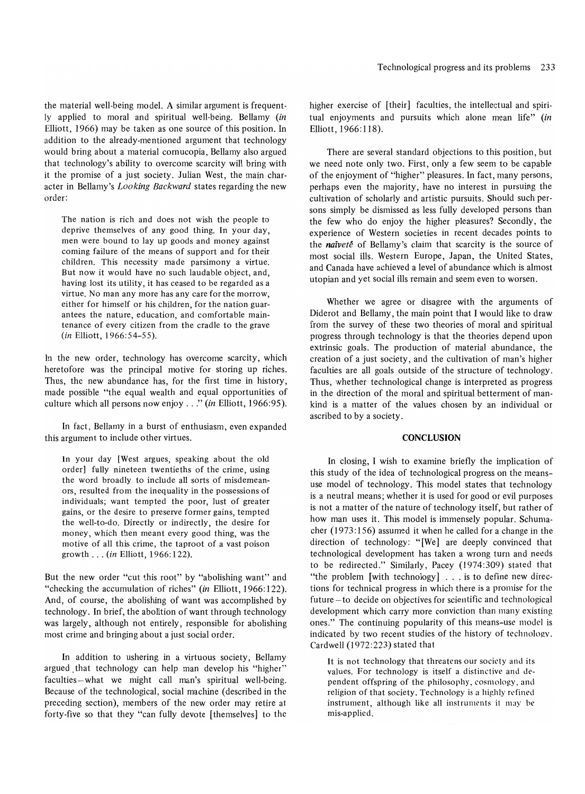the material well-being model. A similar argument is frequently applied to moral and spiritual well-being. Bellamy *(in*  Elliott, 1966) may be taken as one source of this position. In addition to the already-mentioned argument that technology would bring about a material cornucopia, Bellamy also argued that technology's ability to overcome scarcity will bring with it the promise of a just society. Julian West, the main character in Bellamy's *Looking Backward* states regarding the new order:

The nation is rich and does not wish the people to deprive themselves of any good thing. In your day, men were bound to lay up goods and money against coming failure of the means of support and for their children. This necessity made parsimony a virtue. But now it would have no such laudable object, and, having lost its utility, it has ceased to be regarded as a virtue. No man any more has any care for the morrow, either for himself or his children, for the nation guarantees the nature, education, and comfortable maintenance of every citizen from the cradle to the grave *(in* Elliott, 1966: 54-5 5).

In the new order, technology has overcome scarcity, which heretofore was the principal motive for storing up riches. Thus, the new abundance has, for the first time in history, made possible "the equal wealth and equal opportunities of culture which all persons now enjoy ... " *(in* Elliott, 1966:95).

In fact, Bellamy in a burst of enthusiasm, even expanded this argument to include other virtues.

In your day [West argues, speaking about the old order] fully nineteen twentieths of the crime, using the word broadly to include all sorts of misdemeanors, resulted from the inequality in the possessions of individuals; want tempted the poor, lust of greater gains, or the desire to preserve former gains, tempted the well-to-do. Directly or indirectly, the desire for money, which then meant every good thing, was the motive of all this crime, the taproot of a vast poison growth ... *(in* Elliott, 1966: 122).

But the new order "cut this root" by "abolishing want" and "checking the accumulation of riches" *(in* Elliott, 1966: 122). And, of course, the abolishing of want was accomplished by technology. In brief, the abolition of want through technology was largely, although not entirely, responsible for abolishing most crime and bringing about a just social order.

In addition to ushering in a virtuous society, Bellamy argued. that technology can help man develop his "higher" faculties-what we might call man's spiritual well-being. Because of the technological, social machine (described in the preceding section), members of the new order may retire at forty-five so that they "can fully devote [themselves] to the higher exercise of [their] faculties, the intellectual and spiritual enjoyments and pursuits which alone mean life" *(in*  Elliott, 1966:118).

There are several standard objections to this position, but we need note only two. First, only a few seem to be capable of the enjoyment of "higher" pleasures. In fact, many persons, perhaps even the majority, have no interest in pursuing the cultivation of scholarly and artistic pursuits. Should such persons simply be dismissed as less fully developed persons than the few who do enjoy the higher pleasures? Secondly, the experience of Western societies in recent decades points to the *naivete* of Bellamy's claim that scarcity is the source of most social ills. Western Europe, Japan, the United States, and Canada have achieved a level of abundance which is almost utopian and yet social ills remain and seem even to worsen.

Whether we agree or disagree with the arguments of Diderot and Bellamy, the main point that I would like to draw from the survey of these two theories of moral and spiritual progress through technology is that the theories depend upon extrinsic goals. The production of material abundance, the creation of a just society, and the cultivation of man's higher faculties are all goals outside of the structure of technology. Thus, whether technological change is interpreted as progress in the direction of the moral and spiritual betterment of mankind is a matter of the values chosen by an individual or ascribed to by a society.

# **CONCLUSION**

In closing, I wish to examine briefly the implication of this study of the idea of technological progress on the meansuse model of technology. This model states that technology is a neutral means; whether it is used for good or evil purposes is not a matter of the nature of technology itself, but rather of how man uses it. This model is immensely popular. Schumacher (1973: 156) assumed it when he called for a change in the direction of technology: "[We] are deeply convinced that technological development has taken a wrong turn and needs to be redirected." Similarly, Pacey (1974:309) stated that "the problem [with technology] ... is to define new directions for technical progress in which there is a promise for the future-to decide on objectives for scientific and technological development which carry more conviction than many existing ones." The continuing popularity of this means-use model is indicated by two recent studies of the history of technology. Cardwell (1972:223) stated that

It is not technology that threatens our society and its values. For technology is itself a distinctive and dependent offspring of the philosophy, cosmology, and religion of that society. Technology is a highly refined instrument, although like all instruments it may be mis-applied.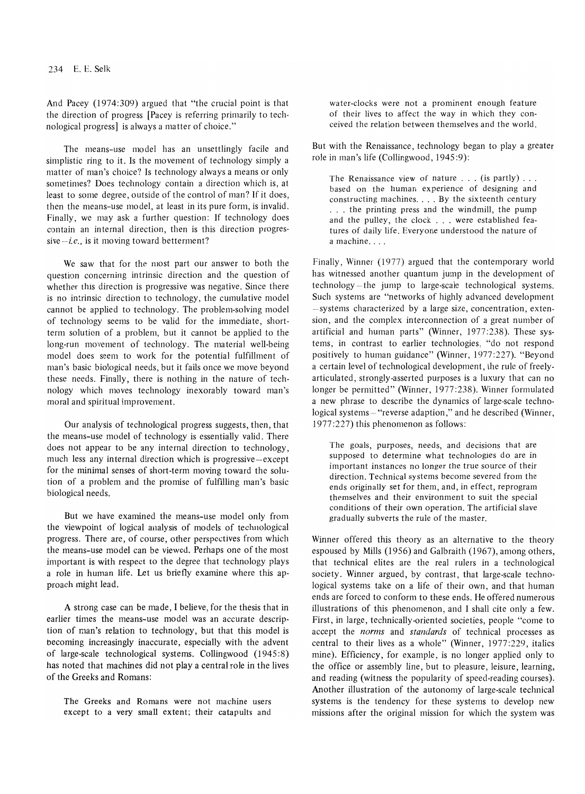And Pacey (I974:309) argued that "the crucial point is that the direction of progress [Pacey is referring primarily to technological progress] is always a matter of choice."

The means-use model has an unsettlingly facile and simplistic ring to it. Is the movement of technology simply a matter of man's choice? Is technology always a means or only sometimes? Does technology contain a direction which is, at least to some degree, outside of the control of man? If it does, then the means-use model, at least in its pure form, is invalid. Finally, we may ask a further question: If technology does contain an internal direction, then is this direction progressive  $-i.e.,$  is it moving toward betterment?

We saw that for the most part our answer to both the question concerning intrinsic direction and the question of whether this direction is progressive was negative. Since there is no intrinsic direction to technology, the cumulative model cannot be applied to technology. The problem-solving model of technology seems to be valid for the immediate, shortterm solution of a problem, but it cannot be applied to the long-run movement of technology. The material well-being model does seem to work for the potential fulfillment of man's basic biological needs, but it fails once we move beyond these needs. Finally, there is nothing in the nature of technology which moves technology inexorably toward man's moral and spiritual improvement.

Our analysis of technological progress suggests, then, that the means-use model of technology is essentially valid. There does not appear to be any internal direction to technology, much less any internal direction which is progressive—except for the minimal senses of short-term moving toward the solution of a problem and the promise of fulfilling man's basic biological needs.

But we have examined the means-use model only from the viewpoint of logical analysis of models of technological progress. There are, of course, other perspectives from which the means-use model can be viewed. Perhaps one of the most important is with respect to the degree that technology plays a role in human life. Let us briefly examine where this approach might lead.

A strong case can be made, I believe, for the thesis that in earlier times the means-use model was an accurate description of man's relation to technology, but that this model is becoming increasingly inaccurate, especially with the advent of large-scale technological systems. Collingwood (1945 :8) has noted that machines did not playa central role in the lives of the Greeks and Romans:

The Greeks and Romans were not machine users except to a very small extent; their catapults and water-clocks were not a prominent enough feature of their lives to affect the way in which they conceived the relation between themselves and the world.

But with the Renaissance, technology began to play a greater role in man's life (Collingwood, 1945:9):

The Renaissance view of nature . . . (is partly) . . . based on the human experience of designing and constructing machines .... By the sixteenth century . .. the printing press and the windmill, the pump and the pulley, the clock ... were established features of daily life. Everyone understood the nature of a machine...

Finally, Winner (1977) argued that the contemporary world has witnessed another quantum jump in the development of technology - the jump to large-scale technological systems. Such systems are "networks of highly advanced development --systems characterized by a large size, concentration, extension, and the complex interconnection of a great number of artificial and human parts" (Winner, 1977:238). These systems, in contrast to earlier technologies, "do not respond positively to human guidance" (Winner, 1977:227). "Beyond a certain level of technological development, the rule of freelyarticulated, strongly-asserted purposes is a luxury that can no longer be permitted" (Winner, 1977:238). Winner formulated a new phrase to describe the dynamics of large-scale technological systems – "reverse adaption," and he described (Winner, 1977 :227) this phenomenon as follows:

The goals, purposes, needs, and decisions that are supposed to determine what technologies do are in important instances no longer the true source of their direction. Technical systems become severed from the ends originally set for them, and, in effect, reprogram themselves and their environment to suit the special conditions of their own operation. The artificial slave gradually subverts the rule of the master.

Winner offered this theory as an alternative to the theory espoused by Mills (1956) and Galbraith (1967), among others, that technical elites are the real rulers in a technological society. Winner argued, by contrast, that large-scale technological systems take on a life of their own, and that human ends are forced to conform to these ends. He offered numerous illustrations of this phenomenon, and I shall cite only a few. First, in large, technically-oriented societies, people "come to accept the *norms* and *standards* of technical processes as central to their lives as a whole" (Winner, 1977 :229, italics mine). Efficiency, for example, is no longer applied only to the office or assembly line, but to pleasure, leisure, learning, and reading (witness the popularity of speed-reading courses). Another illustration of the autonomy of large-scale technical systems is the tendency for these systems to develop new missions after the original mission for which the system was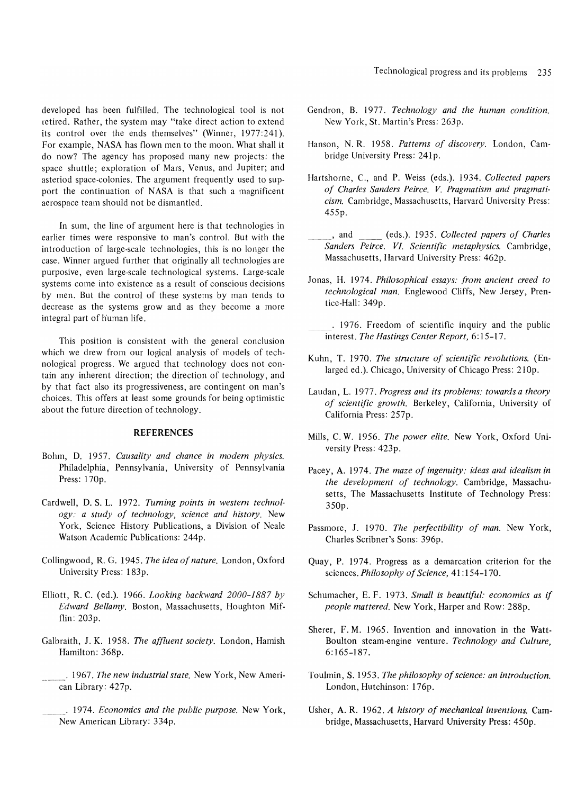developed has been fulfilled. The technological tool is not retired. Rather, the system may "take direct action to extend its control over the ends themselves" (Winner, 1977:241). For example, NASA has flown men to the moon. What shall it do now? The agency has proposed many new projects: the space shuttle; exploration of Mars, Venus, and Jupiter; and asteriod space-colonies. The argument frequently used to support the continuation of NASA is that such a magnificent aerospace team should not be dismantled.

In sum, the line of argument here is that technologies in earlier times were responsive to man's control. But with the introduction of large-scale technologies, this is no longer the case. Winner argued further that originally all technologies are purposive, even large-scale technological systems. Large-scale systems come into existence as a result of conscious decisions by men. But the control of these systems by man tends to decrease as the systems grow and as they become a more integral part of human life.

This position is consistent with the general conclusion which we drew from our logical analysis of models of technological progress. We argued that technology does not contain any inherent direction; the direction of technology, and by that fact also its progressiveness, are contingent on man's choices. This offers at least some grounds for being optimistic about the future direction of technology.

# **REFERENCES**

- Bohm, D. 1957. *Causality and chance in modern physics.*  Philadelphia, Pennsylvania, University of Pennsylvania Press: 170p.
- Cardwell, D. S. L. 1972. *Turning points in western technology: a study of technology, science and history.* New York, Science History Publications, a Division of Neale Watson Academic Publications: 244p.
- Collingwood, R. G. 1945. *The idea of nature.* London, Oxford University Press: 183p.
- Elliott, R. C. (ed.). 1966. *Looking backward 2000-1887 by Edward Bellamy.* Boston, Massachusetts, Houghton Mifflin: 203p.
- Galbraith, J. K. 1958. *The affluent society.* London, Hamish Hamilton: 368p.
- . 1967. *The new industrial state.* New York, New American Library: 427p.
- \_\_ . 1974. *Economics and the public purpose.* New York, New American Library: 334p.
- Gendron, B. 1977. *Technology and the human condition.*  New York, St. Martin's Press: 263p.
- Hanson, N. R. 1958. *Patterns of discovery.* London, Cambridge University Press: 241p.
- Hartshorne, c., and P. Weiss (eds.). 1934. *Collected papers of Charles Sanders Peirce. V. Pragmatism and pragmaticism.* Cambridge, Massachusetts, Harvard University Press: 455p.
- , and ~~ (eds.). 1935. *Collected papers of Charles Sanders Peirce. VI. Scientific metaphysics.* Cambridge, Massachusetts, Harvard University Press: 462p.
- Jonas, H. 1974. *Philosophical essays: from ancient creed to technological man.* Englewood Cliffs, New Jersey, Prentice-Hall: 349p.
- . 1976. Freedom of scientific inquiry and the public in terest. *The Hastings Center Report,* 6: 15-17.
- Kuhn, T. 1970. *The structure of scientific revolutions.* (Enlarged ed.). Chicago, University of Chicago Press: 210p.
- Laudan, L. 1977. *Progress and its problems: towards a theory of scientific growth.* Berkeley, California, University of California Press: 257p.
- Mills, C. W. 1956. *The power elite.* New York, Oxford University Press: 423p.
- Pacey, A. 1974. *The maze of ingenuity: ideas and idealism in the development of technology.* Cambridge, Massachusetts, The Massachusetts Institute of Technology Press: 350p.
- Passmore, J. 1970. *The perfectibility of man.* New York, Charles Scribner's Sons: 396p.
- Quay, P. 1974. Progress as a demarcation criterion for the sciences. *Philosophy of Science,* 41: 154-1 70.
- Schumacher, E. F. 1973. *Small is beautiful: economics as if people mattered.* New York, Harper and Row: 288p.
- Sherer, F. M. 1965. Invention and innovation in the Watt-Boulton steam-engine venture. *Technology and Culture,*  6:165-187.
- Toulmin, S. 1953. *The philosophy of science: an introduction .*  London, Hutchinson: 176p.
- Usher, A. R. 1962. *A history of mechanical inventions.* Cambridge, Massachusetts, Harvard University Press: 450p.